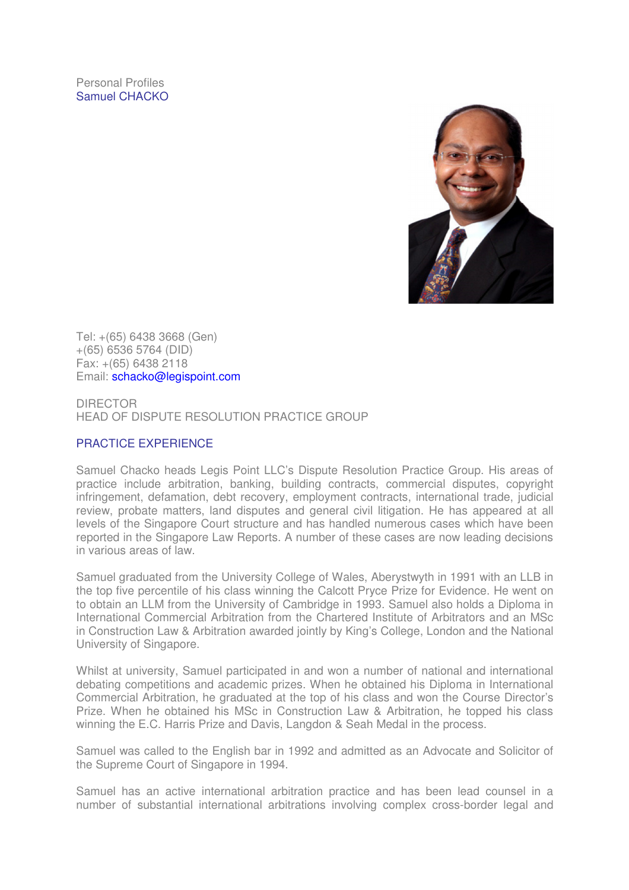Personal Profiles Samuel CHACKO



Tel: +(65) 6438 3668 (Gen) +(65) 6536 5764 (DID) Fax: +(65) 6438 2118 Email: schacko@legispoint.com

DIRECTOR HEAD OF DISPUTE RESOLUTION PRACTICE GROUP

# PRACTICE EXPERIENCE

Samuel Chacko heads Legis Point LLC's Dispute Resolution Practice Group. His areas of practice include arbitration, banking, building contracts, commercial disputes, copyright infringement, defamation, debt recovery, employment contracts, international trade, judicial review, probate matters, land disputes and general civil litigation. He has appeared at all levels of the Singapore Court structure and has handled numerous cases which have been reported in the Singapore Law Reports. A number of these cases are now leading decisions in various areas of law.

Samuel graduated from the University College of Wales, Aberystwyth in 1991 with an LLB in the top five percentile of his class winning the Calcott Pryce Prize for Evidence. He went on to obtain an LLM from the University of Cambridge in 1993. Samuel also holds a Diploma in International Commercial Arbitration from the Chartered Institute of Arbitrators and an MSc in Construction Law & Arbitration awarded jointly by King's College, London and the National University of Singapore.

Whilst at university, Samuel participated in and won a number of national and international debating competitions and academic prizes. When he obtained his Diploma in International Commercial Arbitration, he graduated at the top of his class and won the Course Director's Prize. When he obtained his MSc in Construction Law & Arbitration, he topped his class winning the E.C. Harris Prize and Davis, Langdon & Seah Medal in the process.

Samuel was called to the English bar in 1992 and admitted as an Advocate and Solicitor of the Supreme Court of Singapore in 1994.

Samuel has an active international arbitration practice and has been lead counsel in a number of substantial international arbitrations involving complex cross-border legal and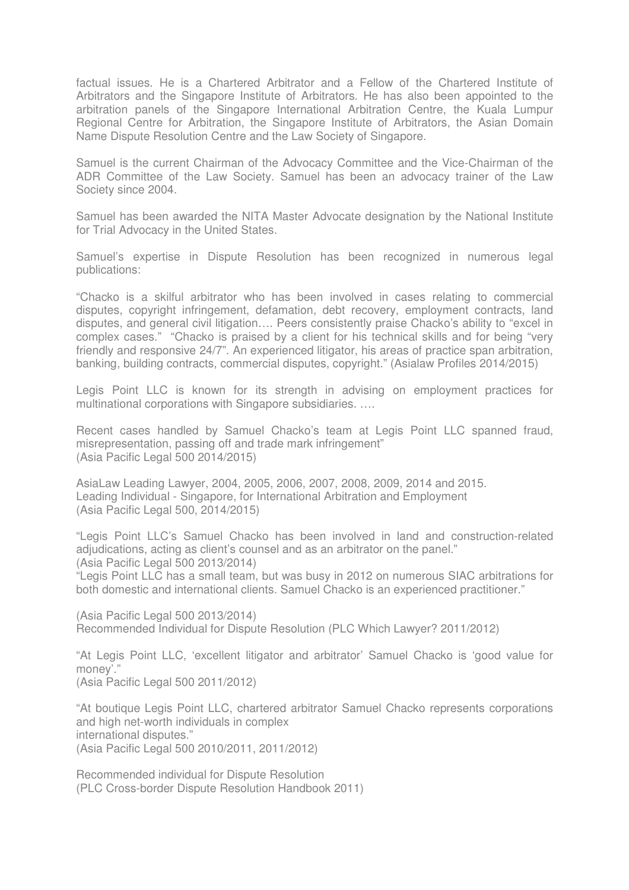factual issues. He is a Chartered Arbitrator and a Fellow of the Chartered Institute of Arbitrators and the Singapore Institute of Arbitrators. He has also been appointed to the arbitration panels of the Singapore International Arbitration Centre, the Kuala Lumpur Regional Centre for Arbitration, the Singapore Institute of Arbitrators, the Asian Domain Name Dispute Resolution Centre and the Law Society of Singapore.

Samuel is the current Chairman of the Advocacy Committee and the Vice-Chairman of the ADR Committee of the Law Society. Samuel has been an advocacy trainer of the Law Society since 2004.

Samuel has been awarded the NITA Master Advocate designation by the National Institute for Trial Advocacy in the United States.

Samuel's expertise in Dispute Resolution has been recognized in numerous legal publications:

"Chacko is a skilful arbitrator who has been involved in cases relating to commercial disputes, copyright infringement, defamation, debt recovery, employment contracts, land disputes, and general civil litigation…. Peers consistently praise Chacko's ability to "excel in complex cases." "Chacko is praised by a client for his technical skills and for being "very friendly and responsive 24/7". An experienced litigator, his areas of practice span arbitration, banking, building contracts, commercial disputes, copyright." (Asialaw Profiles 2014/2015)

Legis Point LLC is known for its strength in advising on employment practices for multinational corporations with Singapore subsidiaries. ….

Recent cases handled by Samuel Chacko's team at Legis Point LLC spanned fraud, misrepresentation, passing off and trade mark infringement" (Asia Pacific Legal 500 2014/2015)

AsiaLaw Leading Lawyer, 2004, 2005, 2006, 2007, 2008, 2009, 2014 and 2015. Leading Individual - Singapore, for International Arbitration and Employment (Asia Pacific Legal 500, 2014/2015)

"Legis Point LLC's Samuel Chacko has been involved in land and construction-related adjudications, acting as client's counsel and as an arbitrator on the panel." (Asia Pacific Legal 500 2013/2014)

"Legis Point LLC has a small team, but was busy in 2012 on numerous SIAC arbitrations for both domestic and international clients. Samuel Chacko is an experienced practitioner."

(Asia Pacific Legal 500 2013/2014) Recommended Individual for Dispute Resolution (PLC Which Lawyer? 2011/2012)

"At Legis Point LLC, 'excellent litigator and arbitrator' Samuel Chacko is 'good value for money'." (Asia Pacific Legal 500 2011/2012)

"At boutique Legis Point LLC, chartered arbitrator Samuel Chacko represents corporations and high net-worth individuals in complex international disputes." (Asia Pacific Legal 500 2010/2011, 2011/2012)

Recommended individual for Dispute Resolution (PLC Cross-border Dispute Resolution Handbook 2011)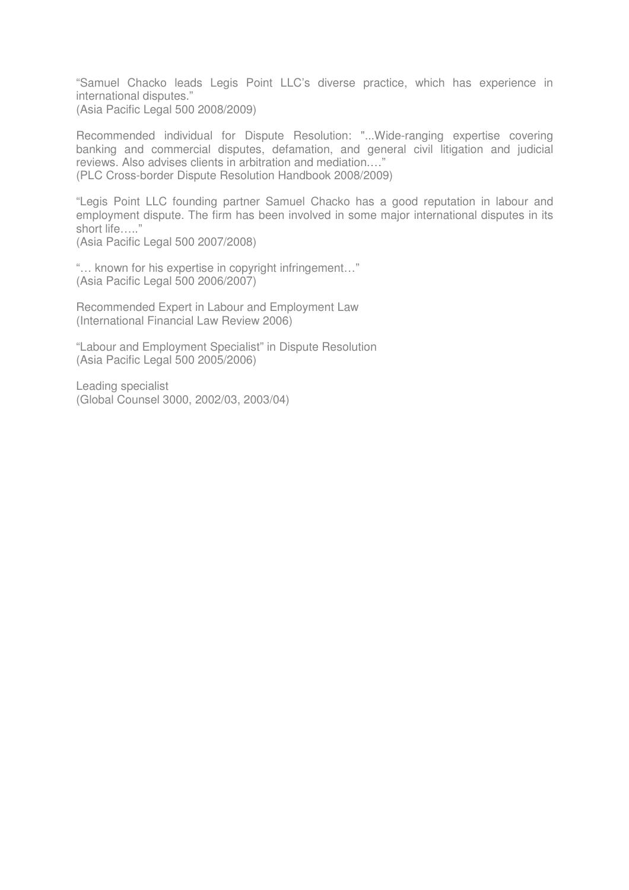"Samuel Chacko leads Legis Point LLC's diverse practice, which has experience in international disputes." (Asia Pacific Legal 500 2008/2009)

Recommended individual for Dispute Resolution: "...Wide-ranging expertise covering banking and commercial disputes, defamation, and general civil litigation and judicial reviews. Also advises clients in arbitration and mediation.…" (PLC Cross-border Dispute Resolution Handbook 2008/2009)

"Legis Point LLC founding partner Samuel Chacko has a good reputation in labour and employment dispute. The firm has been involved in some major international disputes in its short life….."

(Asia Pacific Legal 500 2007/2008)

"… known for his expertise in copyright infringement…" (Asia Pacific Legal 500 2006/2007)

Recommended Expert in Labour and Employment Law (International Financial Law Review 2006)

"Labour and Employment Specialist" in Dispute Resolution (Asia Pacific Legal 500 2005/2006)

Leading specialist (Global Counsel 3000, 2002/03, 2003/04)